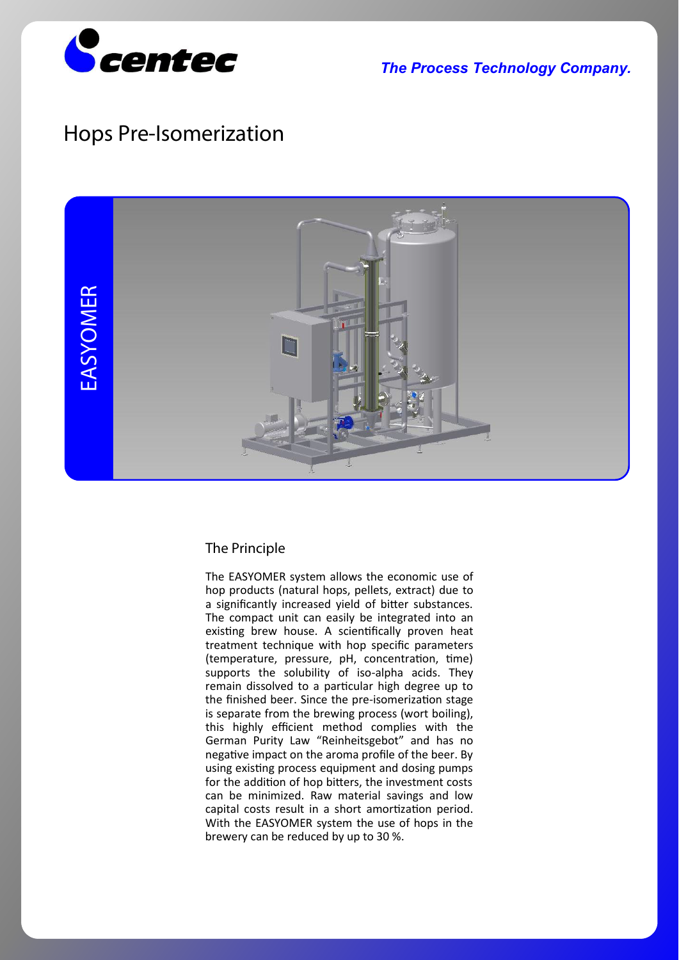

*The Process Technology Company.*

## **Hops Pre-Isomerization**



## **The Principle**

The EASYOMER system allows the economic use of hop products (natural hops, pellets, extract) due to a significantly increased yield of bitter substances. The compact unit can easily be integrated into an existing brew house. A scientifically proven heat treatment technique with hop specific parameters (temperature, pressure, pH, concentration, time) supports the solubility of iso-alpha acids. They remain dissolved to a particular high degree up to the finished beer. Since the pre-isomerization stage is separate from the brewing process (wort boiling), this highly efficient method complies with the German Purity Law "Reinheitsgebot" and has no negative impact on the aroma profile of the beer. By using existing process equipment and dosing pumps for the addition of hop bitters, the investment costs can be minimized. Raw material savings and low capital costs result in a short amortization period. With the EASYOMER system the use of hops in the brewery can be reduced by up to 30 %.